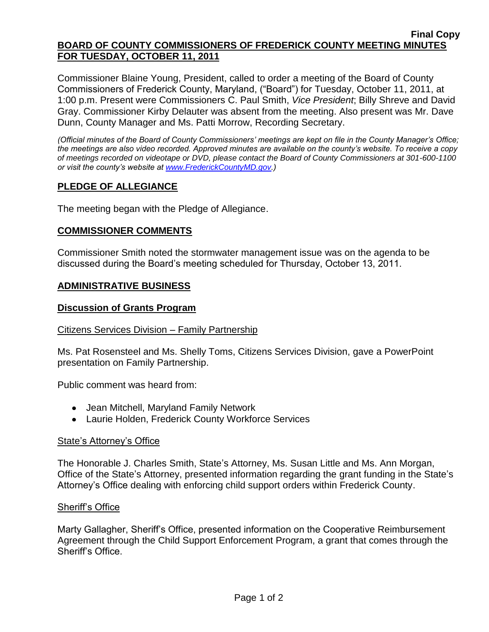#### **Final Copy BOARD OF COUNTY COMMISSIONERS OF FREDERICK COUNTY MEETING MINUTES FOR TUESDAY, OCTOBER 11, 2011**

Commissioner Blaine Young, President, called to order a meeting of the Board of County Commissioners of Frederick County, Maryland, ("Board") for Tuesday, October 11, 2011, at 1:00 p.m. Present were Commissioners C. Paul Smith, *Vice President*; Billy Shreve and David Gray. Commissioner Kirby Delauter was absent from the meeting. Also present was Mr. Dave Dunn, County Manager and Ms. Patti Morrow, Recording Secretary.

*(Official minutes of the Board of County Commissioners' meetings are kept on file in the County Manager's Office; the meetings are also video recorded. Approved minutes are available on the county's website. To receive a copy of meetings recorded on videotape or DVD, please contact the Board of County Commissioners at 301-600-1100 or visit the county's website at [www.FrederickCountyMD.gov.](http://www.frederickcountymd.gov/))*

## **PLEDGE OF ALLEGIANCE**

The meeting began with the Pledge of Allegiance.

### **COMMISSIONER COMMENTS**

Commissioner Smith noted the stormwater management issue was on the agenda to be discussed during the Board's meeting scheduled for Thursday, October 13, 2011.

### **ADMINISTRATIVE BUSINESS**

#### **Discussion of Grants Program**

#### Citizens Services Division – Family Partnership

Ms. Pat Rosensteel and Ms. Shelly Toms, Citizens Services Division, gave a PowerPoint presentation on Family Partnership.

Public comment was heard from:

- Jean Mitchell, Maryland Family Network
- Laurie Holden, Frederick County Workforce Services

#### State's Attorney's Office

The Honorable J. Charles Smith, State's Attorney, Ms. Susan Little and Ms. Ann Morgan, Office of the State's Attorney, presented information regarding the grant funding in the State's Attorney's Office dealing with enforcing child support orders within Frederick County.

#### Sheriff's Office

Marty Gallagher, Sheriff's Office, presented information on the Cooperative Reimbursement Agreement through the Child Support Enforcement Program, a grant that comes through the Sheriff's Office.